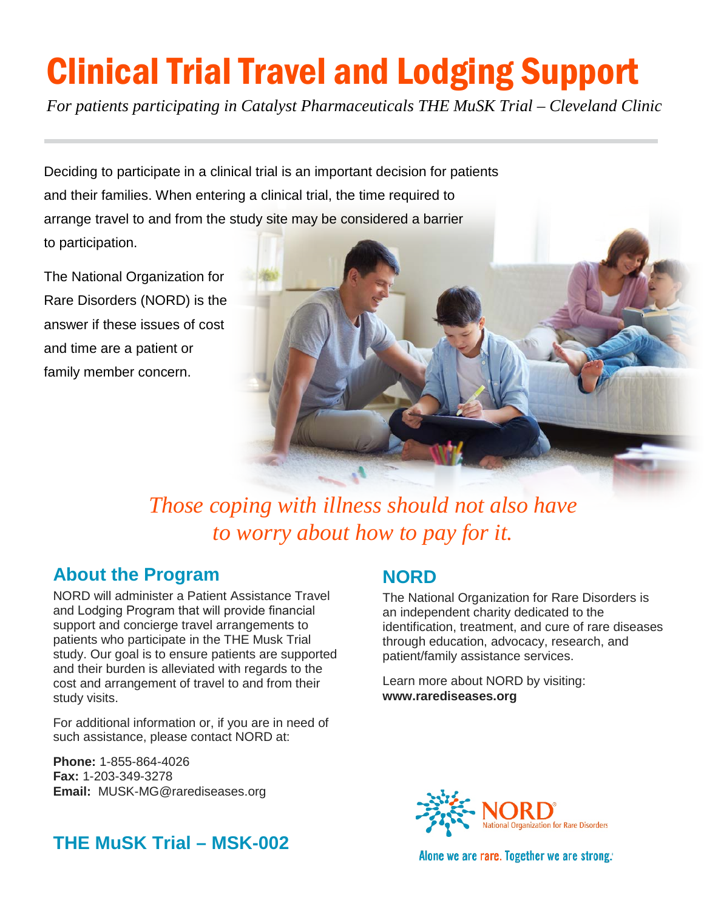# Clinical Trial Travel and Lodging Support

*For patients participating in Catalyst Pharmaceuticals THE MuSK Trial – Cleveland Clinic*

Deciding to participate in a clinical trial is an important decision for patients and their families. When entering a clinical trial, the time required to arrange travel to and from the study site may be considered a barrier to participation.

The National Organization for Rare Disorders (NORD) is the answer if these issues of cost and time are a patient or family member concern.



*Those coping with illness should not also have to worry about how to pay for it.*

#### **About the Program**

NORD will administer a Patient Assistance Travel and Lodging Program that will provide financial support and concierge travel arrangements to patients who participate in the THE Musk Trial study. Our goal is to ensure patients are supported and their burden is alleviated with regards to the cost and arrangement of travel to and from their study visits.

For additional information or, if you are in need of such assistance, please contact NORD at:

**Phone:** 1-855-864-4026 **Fax:** 1-203-349-3278 **Email:** MUSK-MG@rarediseases.org

#### **NORD**

The National Organization for Rare Disorders is an independent charity dedicated to the identification, treatment, and cure of rare diseases through education, advocacy, research, and patient/family assistance services.

Learn more about NORD by visiting: **www.rarediseases.org**



Alone we are rare. Together we are strong.